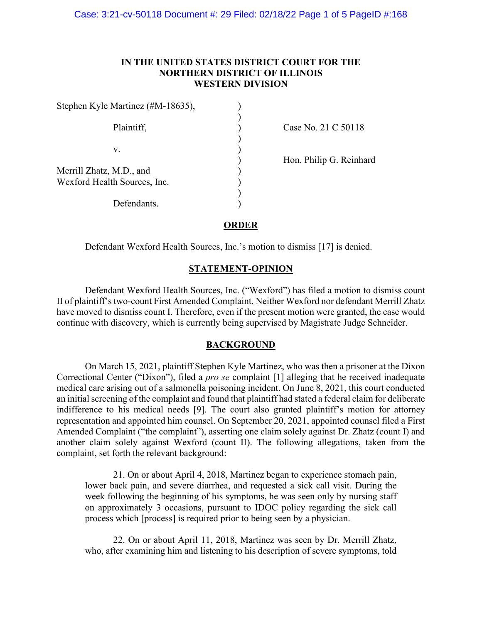# **IN THE UNITED STATES DISTRICT COURT FOR THE NORTHERN DISTRICT OF ILLINOIS WESTERN DIVISION**

| Stephen Kyle Martinez (#M-18635),                        |  |
|----------------------------------------------------------|--|
| Plaintiff,                                               |  |
| V.                                                       |  |
| Merrill Zhatz, M.D., and<br>Wexford Health Sources, Inc. |  |
| Defendants.                                              |  |

Case No. 21 C 50118

)<br>
Hon. Philip G. Reinhard<br>
)

### **ORDER**

Defendant Wexford Health Sources, Inc.'s motion to dismiss [17] is denied.

## **STATEMENT-OPINION**

Defendant Wexford Health Sources, Inc. ("Wexford") has filed a motion to dismiss count II of plaintiff's two-count First Amended Complaint. Neither Wexford nor defendant Merrill Zhatz have moved to dismiss count I. Therefore, even if the present motion were granted, the case would continue with discovery, which is currently being supervised by Magistrate Judge Schneider.

### **BACKGROUND**

On March 15, 2021, plaintiff Stephen Kyle Martinez, who was then a prisoner at the Dixon Correctional Center ("Dixon"), filed a *pro se* complaint [1] alleging that he received inadequate medical care arising out of a salmonella poisoning incident. On June 8, 2021, this court conducted an initial screening of the complaint and found that plaintiff had stated a federal claim for deliberate indifference to his medical needs [9]. The court also granted plaintiff's motion for attorney representation and appointed him counsel. On September 20, 2021, appointed counsel filed a First Amended Complaint ("the complaint"), asserting one claim solely against Dr. Zhatz (count I) and another claim solely against Wexford (count II). The following allegations, taken from the complaint, set forth the relevant background:

21. On or about April 4, 2018, Martinez began to experience stomach pain, lower back pain, and severe diarrhea, and requested a sick call visit. During the week following the beginning of his symptoms, he was seen only by nursing staff on approximately 3 occasions, pursuant to IDOC policy regarding the sick call process which [process] is required prior to being seen by a physician.

22. On or about April 11, 2018, Martinez was seen by Dr. Merrill Zhatz, who, after examining him and listening to his description of severe symptoms, told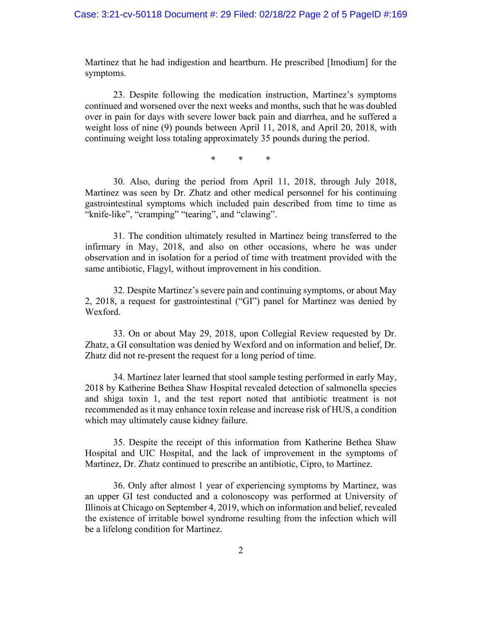Martinez that he had indigestion and heartburn. He prescribed [Imodium] for the symptoms.

23. Despite following the medication instruction, Martinez's symptoms continued and worsened over the next weeks and months, such that he was doubled over in pain for days with severe lower back pain and diarrhea, and he suffered a weight loss of nine (9) pounds between April 11, 2018, and April 20, 2018, with continuing weight loss totaling approximately 35 pounds during the period.

\* \* \*

30. Also, during the period from April 11, 2018, through July 2018, Martinez was seen by Dr. Zhatz and other medical personnel for his continuing gastrointestinal symptoms which included pain described from time to time as "knife-like", "cramping" "tearing", and "clawing".

31. The condition ultimately resulted in Martinez being transferred to the infirmary in May, 2018, and also on other occasions, where he was under observation and in isolation for a period of time with treatment provided with the same antibiotic, Flagyl, without improvement in his condition.

32. Despite Martinez's severe pain and continuing symptoms, or about May 2, 2018, a request for gastrointestinal ("GI") panel for Martinez was denied by Wexford.

33. On or about May 29, 2018, upon Collegial Review requested by Dr. Zhatz, a GI consultation was denied by Wexford and on information and belief, Dr. Zhatz did not re-present the request for a long period of time.

34. Martinez later learned that stool sample testing performed in early May, 2018 by Katherine Bethea Shaw Hospital revealed detection of salmonella species and shiga toxin 1, and the test report noted that antibiotic treatment is not recommended as it may enhance toxin release and increase risk of HUS, a condition which may ultimately cause kidney failure.

35. Despite the receipt of this information from Katherine Bethea Shaw Hospital and UIC Hospital, and the lack of improvement in the symptoms of Martinez, Dr. Zhatz continued to prescribe an antibiotic, Cipro, to Martinez.

36. Only after almost 1 year of experiencing symptoms by Martinez, was an upper GI test conducted and a colonoscopy was performed at University of Illinois at Chicago on September 4, 2019, which on information and belief, revealed the existence of irritable bowel syndrome resulting from the infection which will be a lifelong condition for Martinez.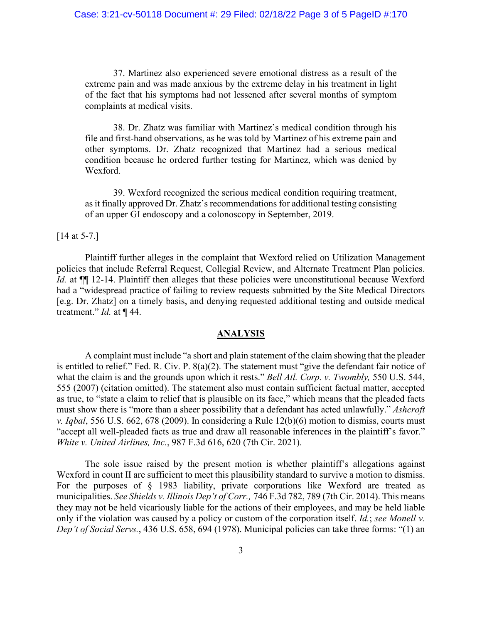37. Martinez also experienced severe emotional distress as a result of the extreme pain and was made anxious by the extreme delay in his treatment in light of the fact that his symptoms had not lessened after several months of symptom complaints at medical visits.

38. Dr. Zhatz was familiar with Martinez's medical condition through his file and first-hand observations, as he was told by Martinez of his extreme pain and other symptoms. Dr. Zhatz recognized that Martinez had a serious medical condition because he ordered further testing for Martinez, which was denied by Wexford.

39. Wexford recognized the serious medical condition requiring treatment, as it finally approved Dr. Zhatz's recommendations for additional testing consisting of an upper GI endoscopy and a colonoscopy in September, 2019.

#### [14 at 5-7.]

Plaintiff further alleges in the complaint that Wexford relied on Utilization Management policies that include Referral Request, Collegial Review, and Alternate Treatment Plan policies. *Id.* at  $\P$  12-14. Plaintiff then alleges that these policies were unconstitutional because Wexford had a "widespread practice of failing to review requests submitted by the Site Medical Directors [e.g. Dr. Zhatz] on a timely basis, and denying requested additional testing and outside medical treatment." *Id.* at ¶ 44.

#### **ANALYSIS**

A complaint must include "a short and plain statement of the claim showing that the pleader is entitled to relief." Fed. R. Civ. P. 8(a)(2). The statement must "give the defendant fair notice of what the claim is and the grounds upon which it rests." *Bell Atl. Corp. v. Twombly,* 550 U.S. 544, 555 (2007) (citation omitted). The statement also must contain sufficient factual matter, accepted as true, to "state a claim to relief that is plausible on its face," which means that the pleaded facts must show there is "more than a sheer possibility that a defendant has acted unlawfully." *Ashcroft v. Iqbal*, 556 U.S. 662, 678 (2009). In considering a Rule 12(b)(6) motion to dismiss, courts must "accept all well-pleaded facts as true and draw all reasonable inferences in the plaintiff's favor." *White v. United Airlines, Inc.*, 987 F.3d 616, 620 (7th Cir. 2021).

The sole issue raised by the present motion is whether plaintiff's allegations against Wexford in count II are sufficient to meet this plausibility standard to survive a motion to dismiss. For the purposes of § 1983 liability, private corporations like Wexford are treated as municipalities. *See Shields v. Illinois Dep't of Corr.,* 746 F.3d 782, 789 (7th Cir. 2014). This means they may not be held vicariously liable for the actions of their employees, and may be held liable only if the violation was caused by a policy or custom of the corporation itself. *Id.*; *see Monell v. Dep't of Social Servs.*, 436 U.S. 658, 694 (1978). Municipal policies can take three forms: "(1) an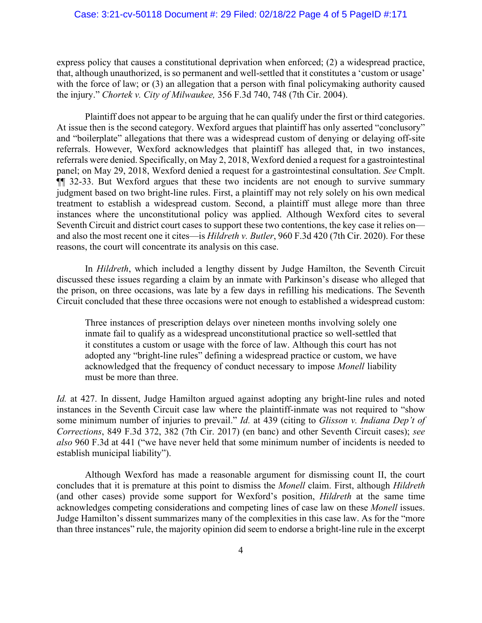express policy that causes a constitutional deprivation when enforced; (2) a widespread practice, that, although unauthorized, is so permanent and well-settled that it constitutes a 'custom or usage' with the force of law; or (3) an allegation that a person with final policymaking authority caused the injury." *Chortek v. City of Milwaukee,* 356 F.3d 740, 748 (7th Cir. 2004).

Plaintiff does not appear to be arguing that he can qualify under the first or third categories. At issue then is the second category. Wexford argues that plaintiff has only asserted "conclusory" and "boilerplate" allegations that there was a widespread custom of denying or delaying off-site referrals. However, Wexford acknowledges that plaintiff has alleged that, in two instances, referrals were denied. Specifically, on May 2, 2018, Wexford denied a request for a gastrointestinal panel; on May 29, 2018, Wexford denied a request for a gastrointestinal consultation. *See* Cmplt. ¶¶ 32-33. But Wexford argues that these two incidents are not enough to survive summary judgment based on two bright-line rules. First, a plaintiff may not rely solely on his own medical treatment to establish a widespread custom. Second, a plaintiff must allege more than three instances where the unconstitutional policy was applied. Although Wexford cites to several Seventh Circuit and district court cases to support these two contentions, the key case it relies on and also the most recent one it cites—is *Hildreth v. Butler*, 960 F.3d 420 (7th Cir. 2020). For these reasons, the court will concentrate its analysis on this case.

In *Hildreth*, which included a lengthy dissent by Judge Hamilton, the Seventh Circuit discussed these issues regarding a claim by an inmate with Parkinson's disease who alleged that the prison, on three occasions, was late by a few days in refilling his medications. The Seventh Circuit concluded that these three occasions were not enough to established a widespread custom:

Three instances of prescription delays over nineteen months involving solely one inmate fail to qualify as a widespread unconstitutional practice so well-settled that it constitutes a custom or usage with the force of law. Although this court has not adopted any "bright-line rules" defining a widespread practice or custom, we have acknowledged that the frequency of conduct necessary to impose *Monell* liability must be more than three.

*Id.* at 427. In dissent, Judge Hamilton argued against adopting any bright-line rules and noted instances in the Seventh Circuit case law where the plaintiff-inmate was not required to "show some minimum number of injuries to prevail." *Id.* at 439 (citing to *Glisson v. Indiana Dep't of Corrections*, 849 F.3d 372, 382 (7th Cir. 2017) (en banc) and other Seventh Circuit cases); *see also* 960 F.3d at 441 ("we have never held that some minimum number of incidents is needed to establish municipal liability").

Although Wexford has made a reasonable argument for dismissing count II, the court concludes that it is premature at this point to dismiss the *Monell* claim. First, although *Hildreth*  (and other cases) provide some support for Wexford's position, *Hildreth* at the same time acknowledges competing considerations and competing lines of case law on these *Monell* issues. Judge Hamilton's dissent summarizes many of the complexities in this case law. As for the "more than three instances" rule, the majority opinion did seem to endorse a bright-line rule in the excerpt